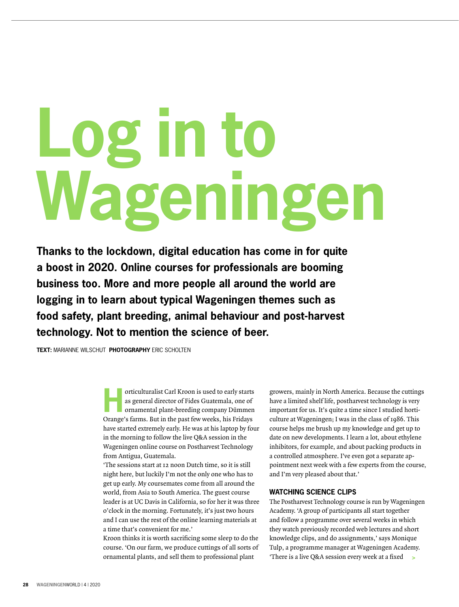# **Log in to Wageningen**

**Thanks to the lockdown, digital education has come in for quite a boost in 2020. Online courses for professionals are booming business too. More and more people all around the world are logging in to learn about typical Wageningen themes such as food safety, plant breeding, animal behaviour and post-harvest technology. Not to mention the science of beer.** 

**TEXT:** MARIANNE WILSCHUT **PHOTOGRAPHY** ERIC SCHOLTEN

**Horticulturalist Carl Kroon is used to early starts<br>
as general director of Fides Guatemala, one of<br>
ornamental plant-breeding company Dümmen<br>
Ornamental plant-breeding company Dümmen** as general director of Fides Guatemala, one of Orange's farms. But in the past few weeks, his Fridays have started extremely early. He was at his laptop by four in the morning to follow the live Q&A session in the Wageningen online course on Postharvest Technology from Antigua, Guatemala.

'The sessions start at 12 noon Dutch time, so it is still night here, but luckily I'm not the only one who has to get up early. My coursemates come from all around the world, from Asia to South America. The guest course leader is at UC Davis in California, so for her it was three o'clock in the morning. Fortunately, it's just two hours and I can use the rest of the online learning materials at a time that's convenient for me.'

Kroon thinks it is worth sacrificing some sleep to do the course. 'On our farm, we produce cuttings of all sorts of ornamental plants, and sell them to professional plant

growers, mainly in North America. Because the cuttings have a limited shelf life, postharvest technology is very important for us. It's quite a time since I studied horticulture at Wageningen; I was in the class of 1986. This course helps me brush up my knowledge and get up to date on new developments. I learn a lot, about ethylene inhibitors, for example, and about packing products in a controlled atmosphere. I've even got a separate appointment next week with a few experts from the course, and I'm very pleased about that.'

# **WATCHING SCIENCE CLIPS**

The Postharvest Technology course is run by Wageningen Academy. 'A group of participants all start together and follow a programme over several weeks in which they watch previously recorded web lectures and short knowledge clips, and do assignments,' says Monique Tulp, a programme manager at Wageningen Academy. 'There is a live Q&A session every week at a fixed **>**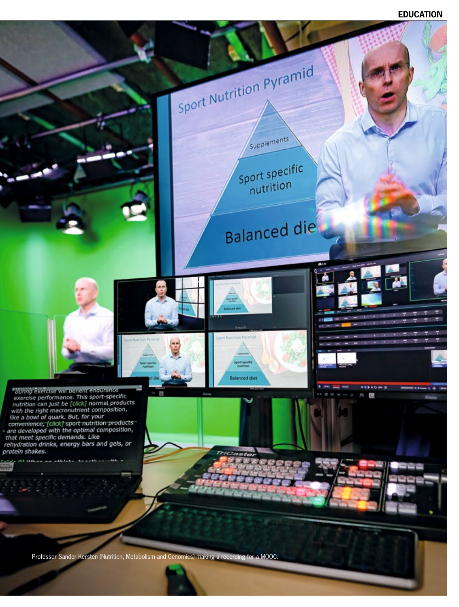# **EDUCATION**

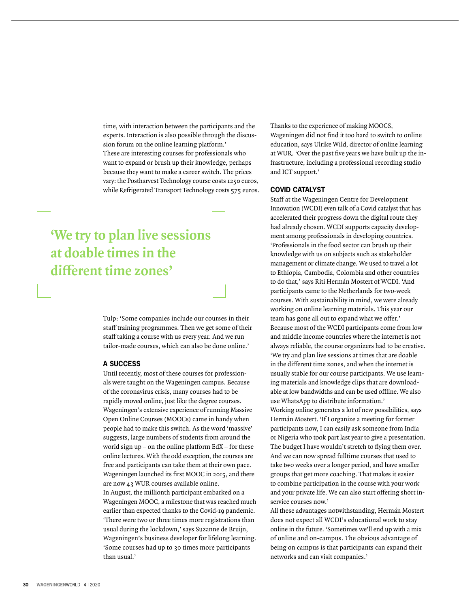time, with interaction between the participants and the experts. Interaction is also possible through the discussion forum on the online learning platform.' These are interesting courses for professionals who want to expand or brush up their knowledge, perhaps because they want to make a career switch. The prices vary: the Postharvest Technology course costs 1250 euros, while Refrigerated Transport Technology costs 575 euros.

# **'We try to plan live sessions at doable times in the different time zones'**

Tulp: 'Some companies include our courses in their staff training programmes. Then we get some of their staff taking a course with us every year. And we run tailor-made courses, which can also be done online.'

### **A SUCCESS**

Until recently, most of these courses for professionals were taught on the Wageningen campus. Because of the coronavirus crisis, many courses had to be rapidly moved online, just like the degree courses. Wageningen's extensive experience of running Massive Open Online Courses (MOOCs) came in handy when people had to make this switch. As the word 'massive' suggests, large numbers of students from around the world sign up – on the online platform EdX – for these online lectures. With the odd exception, the courses are free and participants can take them at their own pace. Wageningen launched its first MOOC in 2015, and there are now 43 WUR courses available online. In August, the millionth participant embarked on a Wageningen MOOC, a milestone that was reached much earlier than expected thanks to the Covid-19 pandemic. 'There were two or three times more registrations than usual during the lockdown,' says Suzanne de Bruijn, Wageningen's business developer for lifelong learning. 'Some courses had up to 30 times more participants than usual.'

Thanks to the experience of making MOOCS,

Wageningen did not find it too hard to switch to online education, says Ulrike Wild, director of online learning at WUR. 'Over the past five years we have built up the infrastructure, including a professional recording studio and ICT support.'

## **COVID CATALYST**

Staff at the Wageningen Centre for Development Innovation (WCDI) even talk of a Covid catalyst that has accelerated their progress down the digital route they had already chosen. WCDI supports capacity development among professionals in developing countries. 'Professionals in the food sector can brush up their knowledge with us on subjects such as stakeholder management or climate change. We used to travel a lot to Ethiopia, Cambodia, Colombia and other countries to do that,' says Riti Hermán Mostert of WCDI. 'And participants came to the Netherlands for two-week courses. With sustainability in mind, we were already working on online learning materials. This year our team has gone all out to expand what we offer.' Because most of the WCDI participants come from low and middle income countries where the internet is not always reliable, the course organizers had to be creative. 'We try and plan live sessions at times that are doable in the different time zones, and when the internet is usually stable for our course participants. We use learning materials and knowledge clips that are downloadable at low bandwidths and can be used offline. We also use WhatsApp to distribute information.' Working online generates a lot of new possibilities, says Hermán Mostert. 'If I organize a meeting for former participants now, I can easily ask someone from India or Nigeria who took part last year to give a presentation. The budget I have wouldn't stretch to flying them over. And we can now spread fulltime courses that used to take two weeks over a longer period, and have smaller groups that get more coaching. That makes it easier to combine participation in the course with your work and your private life. We can also start offering short inservice courses now.'

All these advantages notwithstanding, Hermán Mostert does not expect all WCDI's educational work to stay online in the future. 'Sometimes we'll end up with a mix of online and on-campus. The obvious advantage of being on campus is that participants can expand their networks and can visit companies.'